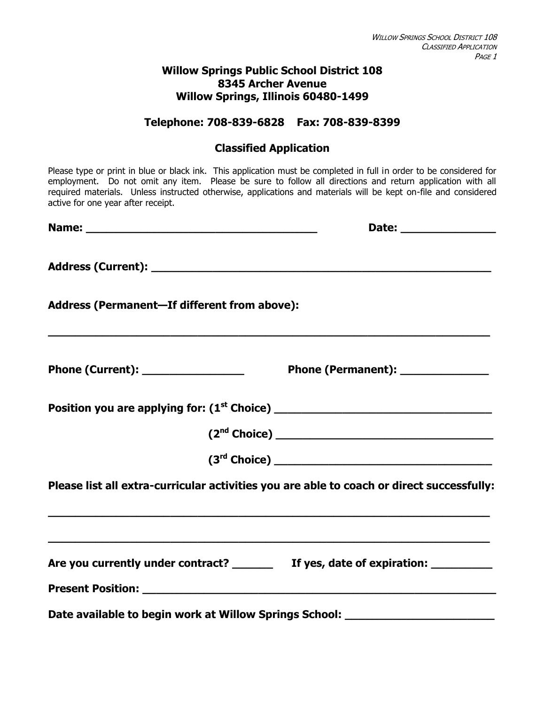#### **Willow Springs Public School District 108 8345 Archer Avenue Willow Springs, Illinois 60480-1499**

#### **Telephone: 708-839-6828 Fax: 708-839-8399**

# **Classified Application**

| Please type or print in blue or black ink. This application must be completed in full in order to be considered for<br>employment. Do not omit any item. Please be sure to follow all directions and return application with all<br>required materials. Unless instructed otherwise, applications and materials will be kept on-file and considered<br>active for one year after receipt. |                                   |
|-------------------------------------------------------------------------------------------------------------------------------------------------------------------------------------------------------------------------------------------------------------------------------------------------------------------------------------------------------------------------------------------|-----------------------------------|
|                                                                                                                                                                                                                                                                                                                                                                                           | Date: ________________            |
|                                                                                                                                                                                                                                                                                                                                                                                           |                                   |
| Address (Permanent-If different from above):                                                                                                                                                                                                                                                                                                                                              |                                   |
| Phone (Current): __________________                                                                                                                                                                                                                                                                                                                                                       | Phone (Permanent): ______________ |
|                                                                                                                                                                                                                                                                                                                                                                                           |                                   |
|                                                                                                                                                                                                                                                                                                                                                                                           |                                   |
|                                                                                                                                                                                                                                                                                                                                                                                           |                                   |
| Please list all extra-curricular activities you are able to coach or direct successfully:                                                                                                                                                                                                                                                                                                 |                                   |
| Are you currently under contract? If yes, date of expiration:                                                                                                                                                                                                                                                                                                                             |                                   |
| Date available to begin work at Willow Springs School: _________________________                                                                                                                                                                                                                                                                                                          |                                   |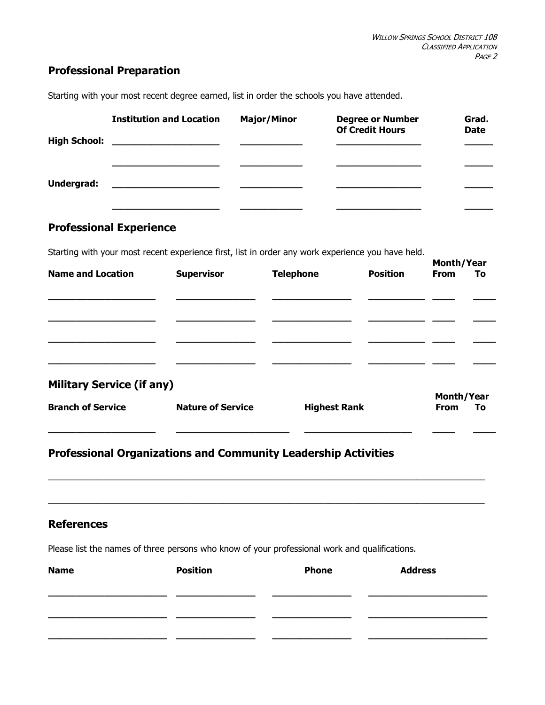# **Professional Preparation**

| <b>High School:</b> | <b>Institution and Location</b>                                                                                       | <b>Major/Minor</b> | <b>Degree or Number</b><br><b>Of Credit Hours</b> | Grad.<br><b>Date</b> |
|---------------------|-----------------------------------------------------------------------------------------------------------------------|--------------------|---------------------------------------------------|----------------------|
|                     |                                                                                                                       |                    |                                                   |                      |
| Undergrad:          | <u> 1980 - Jan Samuel Barbara, político establecido en la contrada de la contrada de la contrada de la contrada d</u> |                    |                                                   |                      |

Starting with your most recent degree earned, list in order the schools you have attended.

## **Professional Experience**

Starting with your most recent experience first, list in order any work experience you have held.

|                                  |                          |                     |                 |                   | Month/Year |  |  |
|----------------------------------|--------------------------|---------------------|-----------------|-------------------|------------|--|--|
| <b>Name and Location</b>         | <b>Supervisor</b>        | <b>Telephone</b>    | <b>Position</b> | <b>From</b>       | To         |  |  |
|                                  |                          |                     |                 |                   |            |  |  |
|                                  |                          |                     |                 |                   |            |  |  |
|                                  |                          |                     |                 |                   |            |  |  |
|                                  |                          |                     |                 |                   |            |  |  |
|                                  |                          |                     |                 |                   |            |  |  |
|                                  |                          |                     |                 |                   |            |  |  |
| <b>Military Service (if any)</b> |                          |                     |                 |                   |            |  |  |
|                                  |                          |                     |                 | <b>Month/Year</b> |            |  |  |
| <b>Branch of Service</b>         | <b>Nature of Service</b> | <b>Highest Rank</b> |                 | <b>From</b>       | To         |  |  |
|                                  |                          |                     |                 |                   |            |  |  |

## **Professional Organizations and Community Leadership Activities**

#### **References**

Please list the names of three persons who know of your professional work and qualifications.

| <b>Name</b> | <b>Position</b> | <b>Phone</b> | <b>Address</b> |
|-------------|-----------------|--------------|----------------|
|             |                 |              |                |
|             |                 |              |                |
|             |                 |              |                |
|             |                 |              |                |

 $\_$  ,  $\_$  ,  $\_$  ,  $\_$  ,  $\_$  ,  $\_$  ,  $\_$  ,  $\_$  ,  $\_$  ,  $\_$  ,  $\_$  ,  $\_$  ,  $\_$  ,  $\_$  ,  $\_$  ,  $\_$  ,  $\_$  ,  $\_$  ,  $\_$  ,  $\_$  ,  $\_$  ,  $\_$  ,  $\_$  ,  $\_$  ,  $\_$  ,  $\_$  ,  $\_$  ,  $\_$  ,  $\_$  ,  $\_$  ,  $\_$  ,  $\_$  ,  $\_$  ,  $\_$  ,  $\_$  ,  $\_$  ,  $\_$  ,

 $\_$  ,  $\_$  ,  $\_$  ,  $\_$  ,  $\_$  ,  $\_$  ,  $\_$  ,  $\_$  ,  $\_$  ,  $\_$  ,  $\_$  ,  $\_$  ,  $\_$  ,  $\_$  ,  $\_$  ,  $\_$  ,  $\_$  ,  $\_$  ,  $\_$  ,  $\_$  ,  $\_$  ,  $\_$  ,  $\_$  ,  $\_$  ,  $\_$  ,  $\_$  ,  $\_$  ,  $\_$  ,  $\_$  ,  $\_$  ,  $\_$  ,  $\_$  ,  $\_$  ,  $\_$  ,  $\_$  ,  $\_$  ,  $\_$  ,